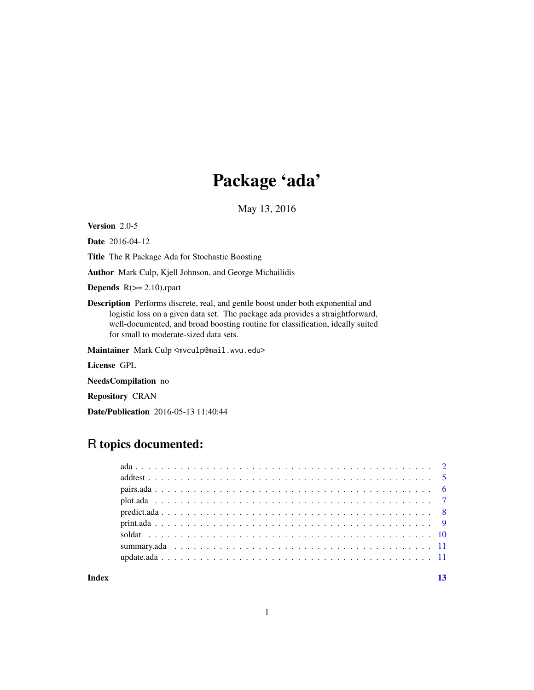## Package 'ada'

May 13, 2016

Version 2.0-5

Date 2016-04-12

Title The R Package Ada for Stochastic Boosting

Author Mark Culp, Kjell Johnson, and George Michailidis

**Depends**  $R$ ( $>= 2.10$ ), rpart

Description Performs discrete, real, and gentle boost under both exponential and logistic loss on a given data set. The package ada provides a straightforward, well-documented, and broad boosting routine for classification, ideally suited for small to moderate-sized data sets.

Maintainer Mark Culp <mvculp@mail.wvu.edu>

License GPL

NeedsCompilation no

Repository CRAN

Date/Publication 2016-05-13 11:40:44

### R topics documented:

**Index** [13](#page-12-0)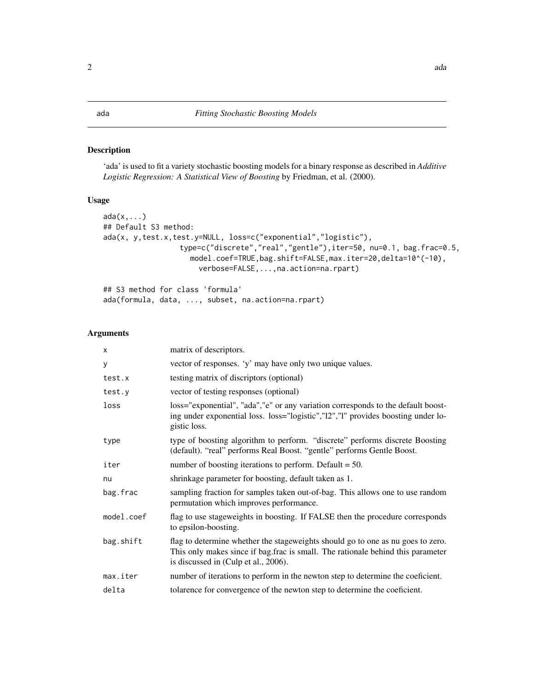#### <span id="page-1-2"></span><span id="page-1-1"></span><span id="page-1-0"></span>Description

'ada' is used to fit a variety stochastic boosting models for a binary response as described in *Additive Logistic Regression: A Statistical View of Boosting* by Friedman, et al. (2000).

#### Usage

```
ada(x,...)
## Default S3 method:
ada(x, y,test.x,test.y=NULL, loss=c("exponential","logistic"),
                 type=c("discrete","real","gentle"),iter=50, nu=0.1, bag.frac=0.5,
                    model.coef=TRUE,bag.shift=FALSE,max.iter=20,delta=10^(-10),
                      verbose=FALSE,...,na.action=na.rpart)
## S3 method for class 'formula'
```
ada(formula, data, ..., subset, na.action=na.rpart)

#### Arguments

| X          | matrix of descriptors.                                                                                                                                                                                      |
|------------|-------------------------------------------------------------------------------------------------------------------------------------------------------------------------------------------------------------|
| У          | vector of responses. 'y' may have only two unique values.                                                                                                                                                   |
| test.x     | testing matrix of discriptors (optional)                                                                                                                                                                    |
| test.y     | vector of testing responses (optional)                                                                                                                                                                      |
| loss       | loss="exponential", "ada", "e" or any variation corresponds to the default boost-<br>ing under exponential loss. loss="logistic","12","1" provides boosting under lo-<br>gistic loss.                       |
| type       | type of boosting algorithm to perform. "discrete" performs discrete Boosting<br>(default). "real" performs Real Boost. "gentle" performs Gentle Boost.                                                      |
| iter       | number of boosting iterations to perform. Default $= 50$ .                                                                                                                                                  |
| nu         | shrinkage parameter for boosting, default taken as 1.                                                                                                                                                       |
| bag.frac   | sampling fraction for samples taken out-of-bag. This allows one to use random<br>permutation which improves performance.                                                                                    |
| model.coef | flag to use stageweights in boosting. If FALSE then the procedure corresponds<br>to epsilon-boosting.                                                                                                       |
| bag.shift  | flag to determine whether the stageweights should go to one as nu goes to zero.<br>This only makes since if bag. frac is small. The rationale behind this parameter<br>is discussed in (Culp et al., 2006). |
| max.iter   | number of iterations to perform in the newton step to determine the coeficient.                                                                                                                             |
| delta      | tolarence for convergence of the newton step to determine the coeficient.                                                                                                                                   |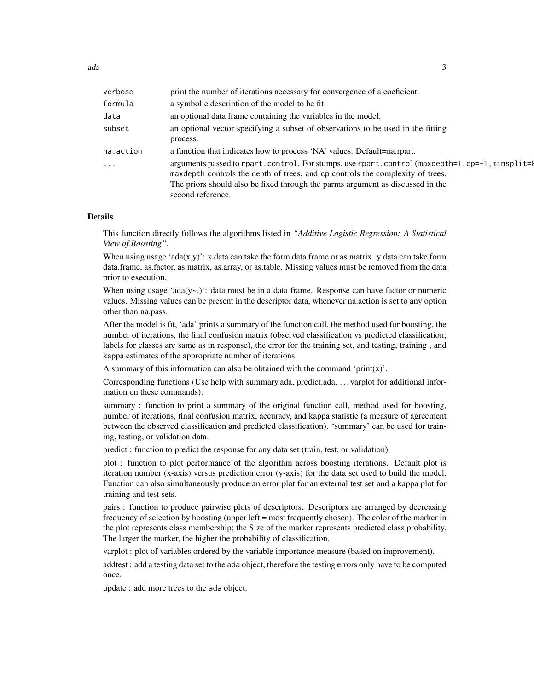| verbose    | print the number of iterations necessary for convergence of a coeficient.                                                                                                                                                                                                               |
|------------|-----------------------------------------------------------------------------------------------------------------------------------------------------------------------------------------------------------------------------------------------------------------------------------------|
| formula    | a symbolic description of the model to be fit.                                                                                                                                                                                                                                          |
| data       | an optional data frame containing the variables in the model.                                                                                                                                                                                                                           |
| subset     | an optional vector specifying a subset of observations to be used in the fitting<br>process.                                                                                                                                                                                            |
| na.action  | a function that indicates how to process 'NA' values. Default=na.rpart.                                                                                                                                                                                                                 |
| $\ddots$ . | arguments passed to rpart.control. For stumps, use rpart.control(maxdepth=1, cp=-1, minsplit=4<br>maxdepth controls the depth of trees, and cp controls the complexity of trees.<br>The priors should also be fixed through the parms argument as discussed in the<br>second reference. |
|            |                                                                                                                                                                                                                                                                                         |

#### Details

This function directly follows the algorithms listed in *"Additive Logistic Regression: A Statistical View of Boosting"*.

When using usage ' $ada(x,y)$ ': x data can take the form data.frame or as matrix. y data can take form data.frame, as.factor, as.matrix, as.array, or as.table. Missing values must be removed from the data prior to execution.

When using usage 'ada(y~.)': data must be in a data frame. Response can have factor or numeric values. Missing values can be present in the descriptor data, whenever na.action is set to any option other than na.pass.

After the model is fit, 'ada' prints a summary of the function call, the method used for boosting, the number of iterations, the final confusion matrix (observed classification vs predicted classification; labels for classes are same as in response), the error for the training set, and testing, training , and kappa estimates of the appropriate number of iterations.

A summary of this information can also be obtained with the command 'print $(x)$ '.

Corresponding functions (Use help with summary.ada, predict.ada, . . . varplot for additional information on these commands):

summary : function to print a summary of the original function call, method used for boosting, number of iterations, final confusion matrix, accuracy, and kappa statistic (a measure of agreement between the observed classification and predicted classification). 'summary' can be used for training, testing, or validation data.

predict : function to predict the response for any data set (train, test, or validation).

plot : function to plot performance of the algorithm across boosting iterations. Default plot is iteration number (x-axis) versus prediction error (y-axis) for the data set used to build the model. Function can also simultaneously produce an error plot for an external test set and a kappa plot for training and test sets.

pairs : function to produce pairwise plots of descriptors. Descriptors are arranged by decreasing frequency of selection by boosting (upper left = most frequently chosen). The color of the marker in the plot represents class membership; the Size of the marker represents predicted class probability. The larger the marker, the higher the probability of classification.

varplot : plot of variables ordered by the variable importance measure (based on improvement).

addtest : add a testing data set to the ada object, therefore the testing errors only have to be computed once.

update : add more trees to the ada object.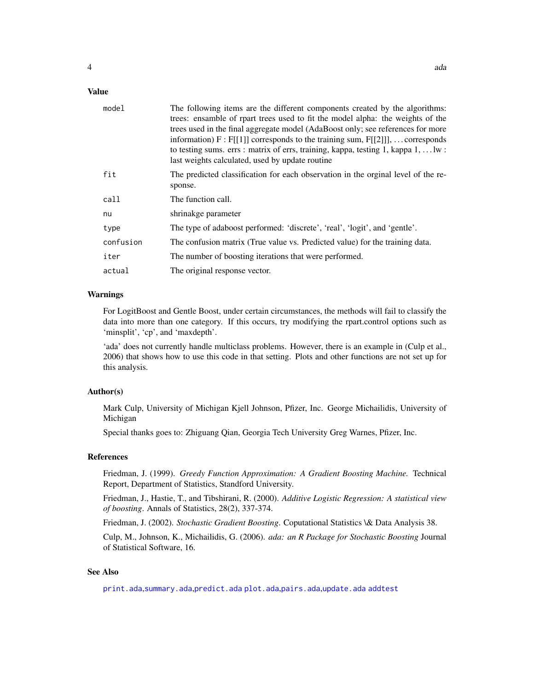#### <span id="page-3-0"></span>Value

| model     | The following items are the different components created by the algorithms:<br>trees: ensamble of rpart trees used to fit the model alpha: the weights of the<br>trees used in the final aggregate model (AdaBoost only; see references for more<br>information) $F : F[[1]]$ corresponds to the training sum, $F[[2]]$ ,  corresponds<br>to testing sums. errs : matrix of errs, training, kappa, testing 1, kappa $1, \ldots$ lw :<br>last weights calculated, used by update routine |
|-----------|-----------------------------------------------------------------------------------------------------------------------------------------------------------------------------------------------------------------------------------------------------------------------------------------------------------------------------------------------------------------------------------------------------------------------------------------------------------------------------------------|
| fit       | The predicted classification for each observation in the orginal level of the re-<br>sponse.                                                                                                                                                                                                                                                                                                                                                                                            |
| call      | The function call.                                                                                                                                                                                                                                                                                                                                                                                                                                                                      |
| nu        | shrinakge parameter                                                                                                                                                                                                                                                                                                                                                                                                                                                                     |
| type      | The type of adaboost performed: 'discrete', 'real', 'logit', and 'gentle'.                                                                                                                                                                                                                                                                                                                                                                                                              |
| confusion | The confusion matrix (True value vs. Predicted value) for the training data.                                                                                                                                                                                                                                                                                                                                                                                                            |
| iter      | The number of boosting iterations that were performed.                                                                                                                                                                                                                                                                                                                                                                                                                                  |
| actual    | The original response vector.                                                                                                                                                                                                                                                                                                                                                                                                                                                           |

#### Warnings

For LogitBoost and Gentle Boost, under certain circumstances, the methods will fail to classify the data into more than one category. If this occurs, try modifying the rpart.control options such as 'minsplit', 'cp', and 'maxdepth'.

'ada' does not currently handle multiclass problems. However, there is an example in (Culp et al., 2006) that shows how to use this code in that setting. Plots and other functions are not set up for this analysis.

#### Author(s)

Mark Culp, University of Michigan Kjell Johnson, Pfizer, Inc. George Michailidis, University of Michigan

Special thanks goes to: Zhiguang Qian, Georgia Tech University Greg Warnes, Pfizer, Inc.

#### References

Friedman, J. (1999). *Greedy Function Approximation: A Gradient Boosting Machine.* Technical Report, Department of Statistics, Standford University.

Friedman, J., Hastie, T., and Tibshirani, R. (2000). *Additive Logistic Regression: A statistical view of boosting*. Annals of Statistics, 28(2), 337-374.

Friedman, J. (2002). *Stochastic Gradient Boosting*. Coputational Statistics \& Data Analysis 38.

Culp, M., Johnson, K., Michailidis, G. (2006). *ada: an R Package for Stochastic Boosting* Journal of Statistical Software, 16.

#### See Also

[print.ada](#page-8-1),[summary.ada](#page-10-1),[predict.ada](#page-7-1) [plot.ada](#page-6-1),[pairs.ada](#page-5-1),[update.ada](#page-10-2) [addtest](#page-4-1)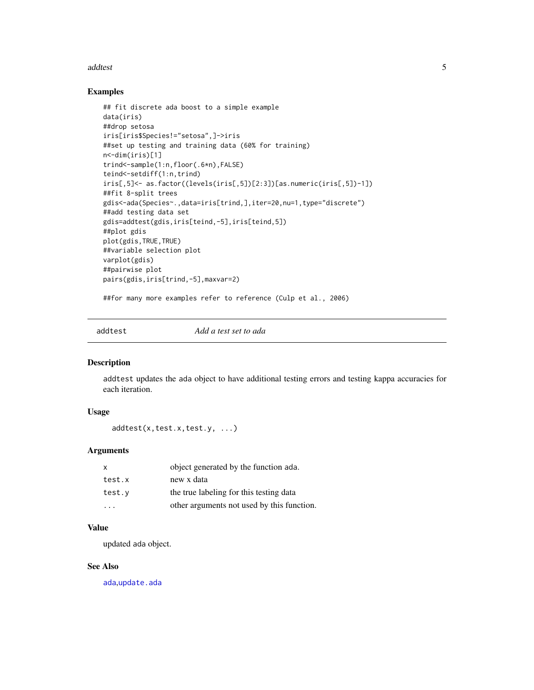#### <span id="page-4-0"></span>addtest 5

#### Examples

```
## fit discrete ada boost to a simple example
data(iris)
##drop setosa
iris[iris$Species!="setosa",]->iris
##set up testing and training data (60% for training)
n<-dim(iris)[1]
trind<-sample(1:n,floor(.6*n),FALSE)
teind<-setdiff(1:n,trind)
iris[,5]<- as.factor((levels(iris[,5])[2:3])[as.numeric(iris[,5])-1])
##fit 8-split trees
gdis<-ada(Species~.,data=iris[trind,],iter=20,nu=1,type="discrete")
##add testing data set
gdis=addtest(gdis,iris[teind,-5],iris[teind,5])
##plot gdis
plot(gdis,TRUE,TRUE)
##variable selection plot
varplot(gdis)
##pairwise plot
pairs(gdis,iris[trind,-5],maxvar=2)
```
##for many more examples refer to reference (Culp et al., 2006)

<span id="page-4-1"></span>addtest *Add a test set to ada*

#### Description

addtest updates the ada object to have additional testing errors and testing kappa accuracies for each iteration.

#### Usage

addtest(x,test.x,test.y, ...)

#### Arguments

| $\mathsf{x}$ | object generated by the function ada.      |
|--------------|--------------------------------------------|
| test.x       | new x data                                 |
| test.y       | the true labeling for this testing data    |
| $\cdots$     | other arguments not used by this function. |

#### Value

updated ada object.

#### See Also

[ada](#page-1-1),[update.ada](#page-10-2)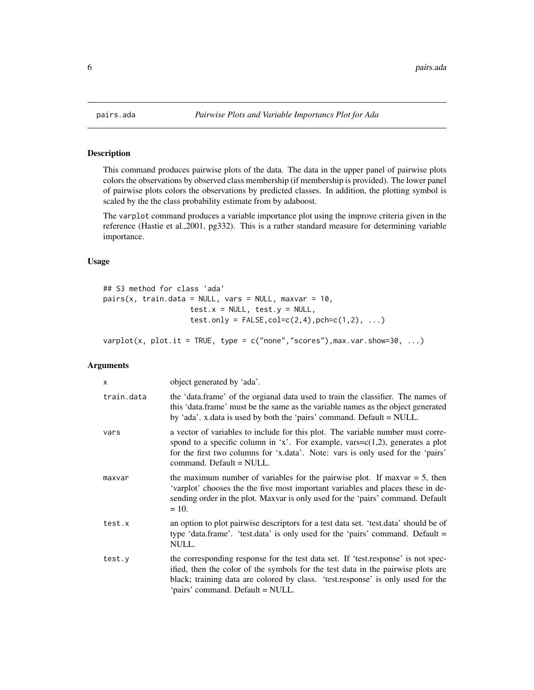<span id="page-5-1"></span><span id="page-5-0"></span>

#### Description

This command produces pairwise plots of the data. The data in the upper panel of pairwise plots colors the observations by observed class membership (if membership is provided). The lower panel of pairwise plots colors the observations by predicted classes. In addition, the plotting symbol is scaled by the the class probability estimate from by adaboost.

The varplot command produces a variable importance plot using the improve criteria given in the reference (Hastie et al.,2001, pg332). This is a rather standard measure for determining variable importance.

#### Usage

```
## S3 method for class 'ada'
pairs(x, train.data = NULL, vars = NULL, maxvar = 10,
                    test.x = NULL, test.y = NULL,test.only = FALSE, col=c(2,4), pchec(1,2), ...
```
 $varplot(x, plot.it = TRUE, type = c("none", "scores"), max.var.show=30, ...)$ 

#### Arguments

| $\mathsf{x}$ | object generated by 'ada'.                                                                                                                                                                                                                                                                    |
|--------------|-----------------------------------------------------------------------------------------------------------------------------------------------------------------------------------------------------------------------------------------------------------------------------------------------|
| train.data   | the 'data.frame' of the orgianal data used to train the classifier. The names of<br>this 'data.frame' must be the same as the variable names as the object generated<br>by 'ada'. x.data is used by both the 'pairs' command. Default = NULL.                                                 |
| vars         | a vector of variables to include for this plot. The variable number must corre-<br>spond to a specific column in 'x'. For example, vars= $c(1,2)$ , generates a plot<br>for the first two columns for 'x.data'. Note: vars is only used for the 'pairs'<br>command. Default $=$ NULL.         |
| maxvar       | the maximum number of variables for the pairwise plot. If maxvar $= 5$ , then<br>'varplot' chooses the the five most important variables and places these in de-<br>sending order in the plot. Maxvar is only used for the 'pairs' command. Default<br>$= 10.$                                |
| test.x       | an option to plot pairwise descriptors for a test data set. 'test.data' should be of<br>type 'data.frame'. 'test.data' is only used for the 'pairs' command. Default $=$<br>NULL.                                                                                                             |
| test.y       | the corresponding response for the test data set. If 'test, response' is not spec-<br>ified, then the color of the symbols for the test data in the pairwise plots are<br>black; training data are colored by class. 'test.response' is only used for the<br>'pairs' command. Default = NULL. |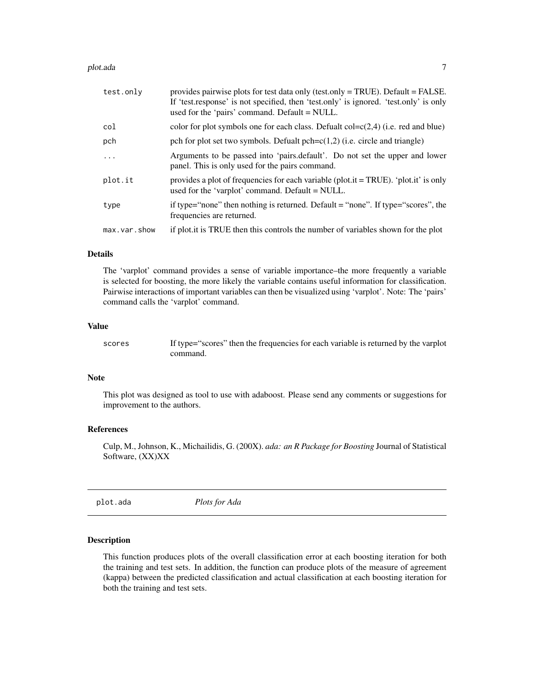#### <span id="page-6-0"></span>plot.ada 7

| test.only    | provides pairwise plots for test data only (test.only = TRUE). Default = FALSE.<br>If 'test, response' is not specified, then 'test, only' is ignored. 'test, only' is only<br>used for the 'pairs' command. Default = NULL. |
|--------------|------------------------------------------------------------------------------------------------------------------------------------------------------------------------------------------------------------------------------|
| col          | color for plot symbols one for each class. Defualt $col=c(2,4)$ (i.e. red and blue)                                                                                                                                          |
| pch          | pch for plot set two symbols. Defualt $pch = c(1,2)$ (i.e. circle and triangle)                                                                                                                                              |
| $\ddots$     | Arguments to be passed into 'pairs.default'. Do not set the upper and lower<br>panel. This is only used for the pairs command.                                                                                               |
| plot.it      | provides a plot of frequencies for each variable (plot.it = TRUE). 'plot.it' is only<br>used for the 'varplot' command. Default = NULL.                                                                                      |
| type         | if type="none" then nothing is returned. Default = "none". If type="scores", the<br>frequencies are returned.                                                                                                                |
| max.var.show | if plot it is TRUE then this controls the number of variables shown for the plot                                                                                                                                             |

#### Details

The 'varplot' command provides a sense of variable importance–the more frequently a variable is selected for boosting, the more likely the variable contains useful information for classification. Pairwise interactions of important variables can then be visualized using 'varplot'. Note: The 'pairs' command calls the 'varplot' command.

#### Value

scores If type="scores" then the frequencies for each variable is returned by the varplot command.

#### Note

This plot was designed as tool to use with adaboost. Please send any comments or suggestions for improvement to the authors.

#### References

Culp, M., Johnson, K., Michailidis, G. (200X). *ada: an R Package for Boosting* Journal of Statistical Software, (XX)XX

<span id="page-6-1"></span>plot.ada *Plots for Ada*

#### Description

This function produces plots of the overall classification error at each boosting iteration for both the training and test sets. In addition, the function can produce plots of the measure of agreement (kappa) between the predicted classification and actual classification at each boosting iteration for both the training and test sets.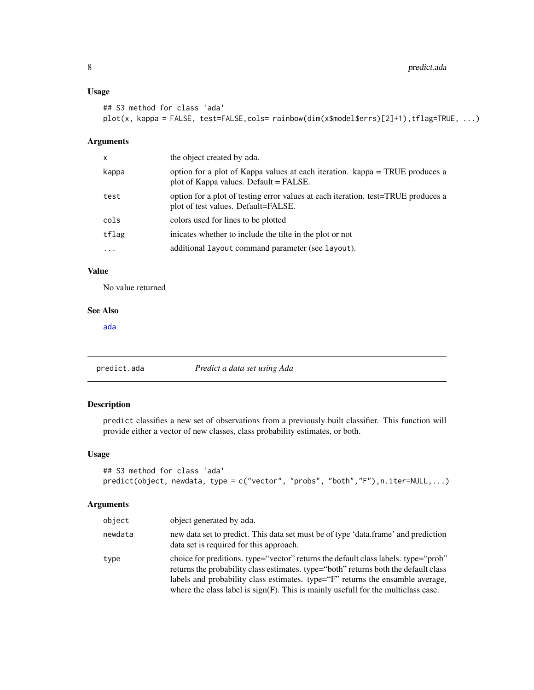<span id="page-7-0"></span>8 predict.ada

#### Usage

```
## S3 method for class 'ada'
plot(x, kappa = FALSE, test=FALSE, cols= rainbow(dim(x$model$errs)[2]+1), tflag=TRUE, ...)
```
#### Arguments

| x         | the object created by ada.                                                                                               |
|-----------|--------------------------------------------------------------------------------------------------------------------------|
| kappa     | option for a plot of Kappa values at each iteration. kappa = TRUE produces a<br>plot of Kappa values. Default = FALSE.   |
| test      | option for a plot of testing error values at each iteration. test=TRUE produces a<br>plot of test values. Default=FALSE. |
| cols      | colors used for lines to be plotted                                                                                      |
| tflag     | inicates whether to include the tilte in the plot or not                                                                 |
| $\ddotsc$ | additional layout command parameter (see layout).                                                                        |

#### Value

No value returned

#### See Also

[ada](#page-1-1)

<span id="page-7-1"></span>predict.ada *Predict a data set using Ada*

#### Description

predict classifies a new set of observations from a previously built classifier. This function will provide either a vector of new classes, class probability estimates, or both.

#### Usage

```
## S3 method for class 'ada'
predict(object, newdata, type = c("vector", "probs", "both","F"), n.iter=NULL,...)
```
#### Arguments

| object  | object generated by ada.                                                                                                                                                                                                                                                                                                                            |
|---------|-----------------------------------------------------------------------------------------------------------------------------------------------------------------------------------------------------------------------------------------------------------------------------------------------------------------------------------------------------|
| newdata | new data set to predict. This data set must be of type 'data.frame' and prediction<br>data set is required for this approach.                                                                                                                                                                                                                       |
| type    | choice for preditions. type="vector" returns the default class labels. type="prob"<br>returns the probability class estimates. type="both" returns both the default class<br>labels and probability class estimates. type="F" returns the ensamble average,<br>where the class label is $sign(F)$ . This is mainly usefull for the multiclass case. |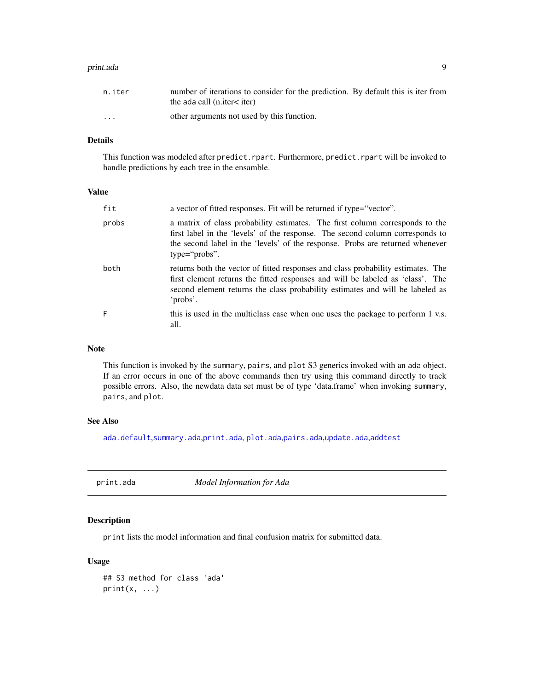#### <span id="page-8-0"></span>print.ada 9

| n.iter                  | number of iterations to consider for the prediction. By default this is iter from<br>the ada call $(n.iter < iter)$ |
|-------------------------|---------------------------------------------------------------------------------------------------------------------|
| $\cdot$ $\cdot$ $\cdot$ | other arguments not used by this function.                                                                          |

#### Details

This function was modeled after predict.rpart. Furthermore, predict.rpart will be invoked to handle predictions by each tree in the ensamble.

#### Value

| fit   | a vector of fitted responses. Fit will be returned if type="vector".                                                                                                                                                                                                |
|-------|---------------------------------------------------------------------------------------------------------------------------------------------------------------------------------------------------------------------------------------------------------------------|
| probs | a matrix of class probability estimates. The first column corresponds to the<br>first label in the 'levels' of the response. The second column corresponds to<br>the second label in the 'levels' of the response. Probs are returned whenever<br>type=" $probs$ ". |
| both  | returns both the vector of fitted responses and class probability estimates. The<br>first element returns the fitted responses and will be labeled as 'class'. The<br>second element returns the class probability estimates and will be labeled as<br>'probs'.     |
| F     | this is used in the multiclass case when one uses the package to perform 1 v.s.<br>all.                                                                                                                                                                             |

#### Note

This function is invoked by the summary, pairs, and plot S3 generics invoked with an ada object. If an error occurs in one of the above commands then try using this command directly to track possible errors. Also, the newdata data set must be of type 'data.frame' when invoking summary, pairs, and plot.

#### See Also

[ada.default](#page-1-2),[summary.ada](#page-10-1),[print.ada](#page-8-1), [plot.ada](#page-6-1),[pairs.ada](#page-5-1),[update.ada](#page-10-2),[addtest](#page-4-1)

<span id="page-8-1"></span>print.ada *Model Information for Ada*

#### Description

print lists the model information and final confusion matrix for submitted data.

#### Usage

```
## S3 method for class 'ada'
print(x, \ldots)
```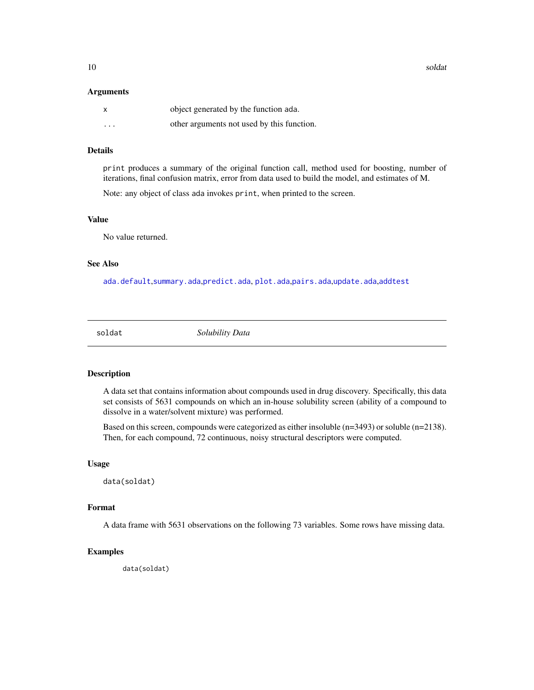<span id="page-9-0"></span>10 soldation of the soldation of the soldation of the soldation of the soldation of the soldation of the soldation of the soldation of the soldation of the soldation of the soldation of the soldation of the soldation of th

#### Arguments

| $\boldsymbol{\mathsf{x}}$ | object generated by the function ada.      |
|---------------------------|--------------------------------------------|
| $\cdots$                  | other arguments not used by this function. |

#### Details

print produces a summary of the original function call, method used for boosting, number of iterations, final confusion matrix, error from data used to build the model, and estimates of M.

Note: any object of class ada invokes print, when printed to the screen.

#### Value

No value returned.

#### See Also

[ada.default](#page-1-2),[summary.ada](#page-10-1),[predict.ada](#page-7-1), [plot.ada](#page-6-1),[pairs.ada](#page-5-1),[update.ada](#page-10-2),[addtest](#page-4-1)

soldat *Solubility Data*

#### Description

A data set that contains information about compounds used in drug discovery. Specifically, this data set consists of 5631 compounds on which an in-house solubility screen (ability of a compound to dissolve in a water/solvent mixture) was performed.

Based on this screen, compounds were categorized as either insoluble (n=3493) or soluble (n=2138). Then, for each compound, 72 continuous, noisy structural descriptors were computed.

#### Usage

data(soldat)

#### Format

A data frame with 5631 observations on the following 73 variables. Some rows have missing data.

#### Examples

data(soldat)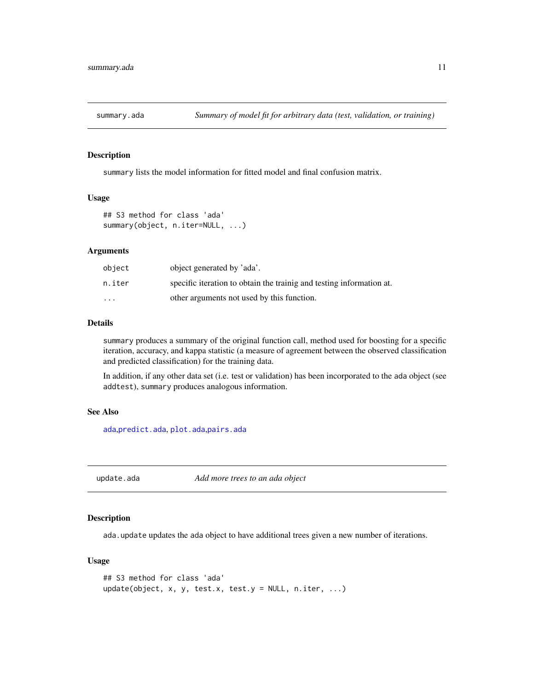<span id="page-10-1"></span><span id="page-10-0"></span>

#### Description

summary lists the model information for fitted model and final confusion matrix.

#### Usage

```
## S3 method for class 'ada'
summary(object, n.iter=NULL, ...)
```
#### Arguments

| object                  | object generated by 'ada'.                                           |
|-------------------------|----------------------------------------------------------------------|
| n.iter                  | specific iteration to obtain the trainig and testing information at. |
| $\cdot$ $\cdot$ $\cdot$ | other arguments not used by this function.                           |

#### Details

summary produces a summary of the original function call, method used for boosting for a specific iteration, accuracy, and kappa statistic (a measure of agreement between the observed classification and predicted classification) for the training data.

In addition, if any other data set (i.e. test or validation) has been incorporated to the ada object (see addtest), summary produces analogous information.

#### See Also

[ada](#page-1-1),[predict.ada](#page-7-1), [plot.ada](#page-6-1),[pairs.ada](#page-5-1)

<span id="page-10-2"></span>update.ada *Add more trees to an ada object*

#### Description

ada.update updates the ada object to have additional trees given a new number of iterations.

#### Usage

```
## S3 method for class 'ada'
update(object, x, y, test.x, test.y = NULL, n.iter, ...)
```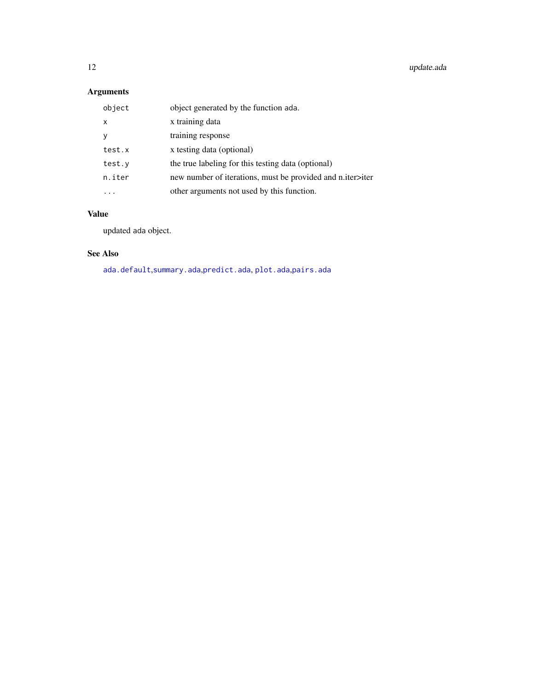### <span id="page-11-0"></span>Arguments

| object       | object generated by the function ada.                      |
|--------------|------------------------------------------------------------|
| $\mathsf{x}$ | x training data                                            |
| y            | training response                                          |
| test.x       | x testing data (optional)                                  |
| test.y       | the true labeling for this testing data (optional)         |
| n.iter       | new number of iterations, must be provided and n.iter>iter |
|              | other arguments not used by this function.                 |

#### Value

updated ada object.

#### See Also

[ada.default](#page-1-2),[summary.ada](#page-10-1),[predict.ada](#page-7-1), [plot.ada](#page-6-1),[pairs.ada](#page-5-1)